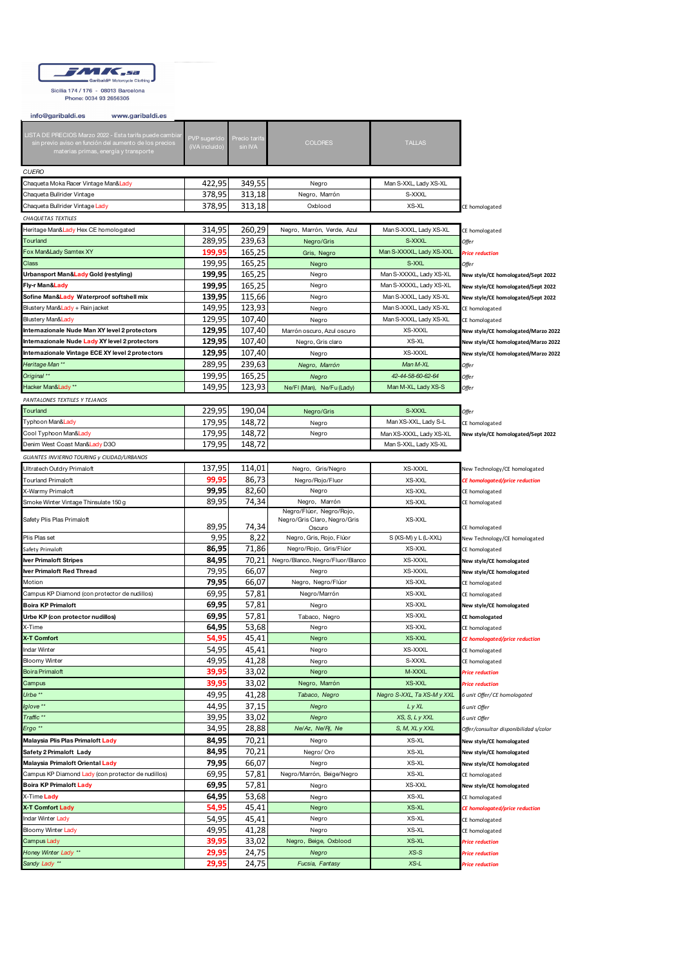

Sicilia 174 / 176 - 08013 Barcelona<br>Phone: 0034 93 2656305

| info@garibaldi.es<br>www.garibaldi.es                                                                            |                |               |                                        |                            |                                        |  |
|------------------------------------------------------------------------------------------------------------------|----------------|---------------|----------------------------------------|----------------------------|----------------------------------------|--|
|                                                                                                                  |                |               |                                        |                            |                                        |  |
| LISTA DE PRECIOS Marzo 2022 - Esta tarifa puede cambia<br>sin previo aviso en función del aumento de los precios | PVP sugerido   | Precio tarifa | <b>COLORES</b>                         | <b>TALLAS</b>              |                                        |  |
| materias primas, energía y transporte                                                                            | (iVA incluido  | sin IVA       |                                        |                            |                                        |  |
|                                                                                                                  |                |               |                                        |                            |                                        |  |
| CUERO                                                                                                            |                |               |                                        |                            |                                        |  |
| Chaqueta Moka Racer Vintage Man&Lady                                                                             | 422,95         | 349,55        | Negro                                  | Man S-XXL, Lady XS-XL      |                                        |  |
| Chaqueta Bullrider Vintage                                                                                       | 378,95         | 313,18        | Negro, Marrón                          | S-XXXL                     |                                        |  |
| Chaqueta Bullrider Vintage Lady                                                                                  | 378,95         | 313,18        | Oxblood                                | XS-XL                      | CE homologated                         |  |
| CHAQUETAS TEXTILES                                                                                               |                |               |                                        |                            |                                        |  |
| Heritage Man&Lady Hex CE homologated                                                                             | 314,95         | 260,29        | Negro, Marrón, Verde, Azul             | Man S-XXXL, Lady XS-XL     |                                        |  |
| Tourland                                                                                                         | 289,95         |               |                                        | S-XXXL                     | CE homologated                         |  |
|                                                                                                                  |                | 239,63        | Negro/Gris                             |                            | Offer                                  |  |
| Fox Man&Lady Samtex XY                                                                                           | 199,95         | 165,25        | Gris, Negro                            | Man S-XXXXL, Lady XS-XXL   | <b>Price reduction</b>                 |  |
| Class                                                                                                            | 199.95         | 165,25        | Negro                                  | S-XXL                      | Offer                                  |  |
| Urbansport Man&Lady Gold (restyling)                                                                             | 199,95         | 165,25        | Negro                                  | Man S-XXXXL, Lady XS-XL    | New style/CE homologated/Sept 2022     |  |
| Fly-r Man& <mark>Lady</mark>                                                                                     | 199,95         | 165,25        | Negro                                  | Man S-XXXXL, Lady XS-XL    | New style/CE homologated/Sept 2022     |  |
| Sofine Man&Lady Waterproof softshell mix                                                                         | 139,95         | 115,66        | Negro                                  | Man S-XXXL, Lady XS-XL     | New style/CE homologated/Sept 2022     |  |
| Blustery Man& <mark>Lady + R</mark> ain jacket                                                                   | 149,95         | 123,93        | Negro                                  | Man S-XXXL, Lady XS-XL     | CE homologated                         |  |
| Blustery Man&Lady                                                                                                | 129,95         | 107,40        | Negro                                  | Man S-XXXL, Lady XS-XL     | CE homologated                         |  |
| Internazionale Nude Man XY level 2 protectors                                                                    | 129,95         | 107,40        | Marrón oscuro, Azul oscuro             | XS-XXXL                    | New style/CE homologated/Marzo 2022    |  |
| Internazionale Nude Lady XY level 2 protectors                                                                   | 129,95         | 107,40        | Negro, Gris claro                      | XS-XL                      | New style/CE homologated/Marzo 2022    |  |
| Internazionale Vintage ECE XY level 2 protectors                                                                 | 129,95         | 107,40        | Negro                                  | XS-XXXL                    | New style/CE homologated/Marzo 2022    |  |
| Heritage Man **                                                                                                  | 289,95         | 239,63        | Negro, Marrón                          | Man M-XL                   | Offer                                  |  |
| Original **                                                                                                      | 199,95         | 165,25        | Negro                                  | 42-44-58-60-62-64          | Offer                                  |  |
| Hacker Man&Lady**                                                                                                | 149.95         | 123,93        | Ne/FI (Man), Ne/Fu (Lady)              | Man M-XL, Lady XS-S        | Offer                                  |  |
| PANTALONES TEXTILES Y TEJANOS                                                                                    |                |               |                                        |                            |                                        |  |
| Tourland                                                                                                         | 229,95         | 190,04        | Negro/Gris                             | S-XXXL                     | Offer                                  |  |
| Typhoon Man& <mark>Lad</mark> y                                                                                  | 179.95         | 148.72        |                                        | Man XS-XXL, Lady S-L       |                                        |  |
|                                                                                                                  |                |               | Negro                                  |                            | CE homologated                         |  |
| Cool Typhoon Man&Lady                                                                                            | 179,95         | 148,72        | Negro                                  | Man XS-XXXL, Lady XS-XL    | New style/CE homologated/Sept 2022     |  |
| Denim West Coast Man& <mark>Lady</mark> D3O                                                                      | 179,95         | 148,72        |                                        | Man S-XXL, Lady XS-XL      |                                        |  |
| GUANTES INVIERNO TOURING y CIUDAD/URBANOS                                                                        |                |               |                                        |                            |                                        |  |
| Ultratech Outdry Primaloft                                                                                       | 137,95         | 114,01        | Negro, Gris/Negro                      | XS-XXXL                    | New Technology/CE homologated          |  |
| Tourland Primaloft                                                                                               | 99,95          | 86,73         | Negro/Rojo/Fluor                       | XS-XXL                     | CE homologated/price reduction         |  |
| X-Warmy Primaloft                                                                                                | 99,95          | 82,60         | Negro                                  | XS-XXL                     | CE homologated                         |  |
| Smoke Winter Vintage Thinsulate 150 g                                                                            | 89,95          | 74,34         | Negro, Marrón                          | XS-XXL                     | CE homologated                         |  |
|                                                                                                                  |                |               | Negro/Flúor, Negro/Rojo,               |                            |                                        |  |
| Safety Plis Plas Primaloft                                                                                       | 89,95          | 74,34         | Negro/Gris Claro, Negro/Gris<br>Oscuro | XS-XXL                     | CE homologated                         |  |
| Plis Plas set                                                                                                    | 9,95           | 8,22          | Negro, Gris, Rojo, Flúor               | S (XS-M) y L (L-XXL)       | New Technology/CE homologated          |  |
| Safety Primaloft                                                                                                 | 86,95          | 71,86         | Negro/Rojo, Gris/Flúor                 | XS-XXL                     | CE homologated                         |  |
| lver Primaloft Stripes                                                                                           | 84,95          | 70,21         | Negro/Blanco, Negro/Fluor/Blanco       | XS-XXXL                    | New style/CE homologated               |  |
| <b>Iver Primaloft Red Thread</b>                                                                                 | 79,95          | 66,07         | Negro                                  | XS-XXXL                    | New style/CE homologated               |  |
| Motion                                                                                                           | 79,95          | 66,07         | Negro, Negro/Flúor                     | XS-XXL                     | CE homologated                         |  |
| Campus KP Diamond (con protector de nudillos)                                                                    | 69,95          | 57,81         | Negro/Marrón                           | XS-XXL                     | CE homologated                         |  |
| <b>Boira KP Primaloft</b>                                                                                        | 69,95          | 57,81         | Negro                                  | XS-XXL                     | New style/CE homologated               |  |
| Urbe KP (con protector nudillos)                                                                                 | 69,95          | 57,81         |                                        | XS-XXL                     | CE homologated                         |  |
| K-Time                                                                                                           | 64,95          | 53,68         | Tabaco, Negro<br>Negro                 | XS-XXL                     |                                        |  |
| X-T Comfort                                                                                                      |                |               |                                        |                            | CE homologated                         |  |
| ndar Winter                                                                                                      | 54,95<br>54,95 | 45,41         | Negro<br>Negro                         | XS-XXL<br>XS-XXXL          | CE homologated/price reduction         |  |
|                                                                                                                  |                | 45,41         |                                        |                            | CE homologated                         |  |
| Bloomy Winter                                                                                                    | 49,95          | 41,28         | Negro                                  | S-XXXL                     | CE homologated                         |  |
| Boira Primaloft                                                                                                  | 39,95          | 33,02         | Negro                                  | M-XXXL                     | <b>Price reduction</b>                 |  |
| Campus                                                                                                           | 39,95          | 33,02         | Negro, Marrón                          | <b>XS-XXL</b>              | Price reduction                        |  |
| Urbe <sup>**</sup>                                                                                               | 49,95          | 41,28         | Tabaco, Negro                          | Negro S-XXL, Ta XS-M y XXL | 6 unit Offer/CE homologated            |  |
| glove <sup>**</sup>                                                                                              | 44,95          | 37,15         | Negro                                  | L y XL                     | 6 unit Offer                           |  |
| Traffic <sup>**</sup>                                                                                            | 39,95          | 33,02         | Negro                                  | XS, S, L y XXL             | 5 unit Offer                           |  |
| $E$ rgo **                                                                                                       | 34,95          | 28,88         | Ne/Az, Ne/Rj, Ne                       | S, M, XL y XXL             | Offer/consultar disponibilidad s/color |  |
| Malaysia Plis Plas Primaloft Lady                                                                                | 84,95          | 70,21         | Negro                                  | XS-XL                      | New style/CE homologated               |  |
| Safety 2 Primaloft Lady                                                                                          | 84,95          | 70,21         | Negro/ Oro                             | XS-XL                      | New style/CE homologated               |  |
| Malaysia Primaloft Oriental Lady                                                                                 | 79,95          | 66,07         | Negro                                  | XS-XL                      | New style/CE homologated               |  |
| Campus KP Diamond Lady (con protector de nudillos)                                                               | 69,95          | 57,81         | Negro/Marrón, Beige/Negro              | XS-XL                      | CE homologated                         |  |
| <b>Boira KP Primaloft Lady</b>                                                                                   | 69,95          | 57,81         | Negro                                  | XS-XXL                     | New style/CE homologated               |  |
| X-Time Lady                                                                                                      | 64,95          | 53,68         | Negro                                  | XS-XL                      | CE homologated                         |  |
| X-T Comfort Lady                                                                                                 | 54,95          | 45,41         | Negro                                  | XS-XL                      | CE homologated/price reduction         |  |
| Indar Winter Lady                                                                                                | 54,95          | 45,41         | Negro                                  | XS-XL                      | CE homologated                         |  |
| Bloomy Winter Lady                                                                                               | 49,95          | 41,28         | Negro                                  | XS-XL                      | CE homologated                         |  |
| Campus Lady                                                                                                      | 39,95          | 33,02         | Negro, Beige, Oxblood                  | XS-XL                      | Price reduction                        |  |
| Honey Winter Lady **                                                                                             | 29,95          | 24,75         | Negro                                  | $XS-S$                     | <b>Price reduction</b>                 |  |
| Sandy Lady **                                                                                                    | 29,95          | 24,75         | Fucsia, Fantasy                        | $XS-L$                     | Price reduction                        |  |
|                                                                                                                  |                |               |                                        |                            |                                        |  |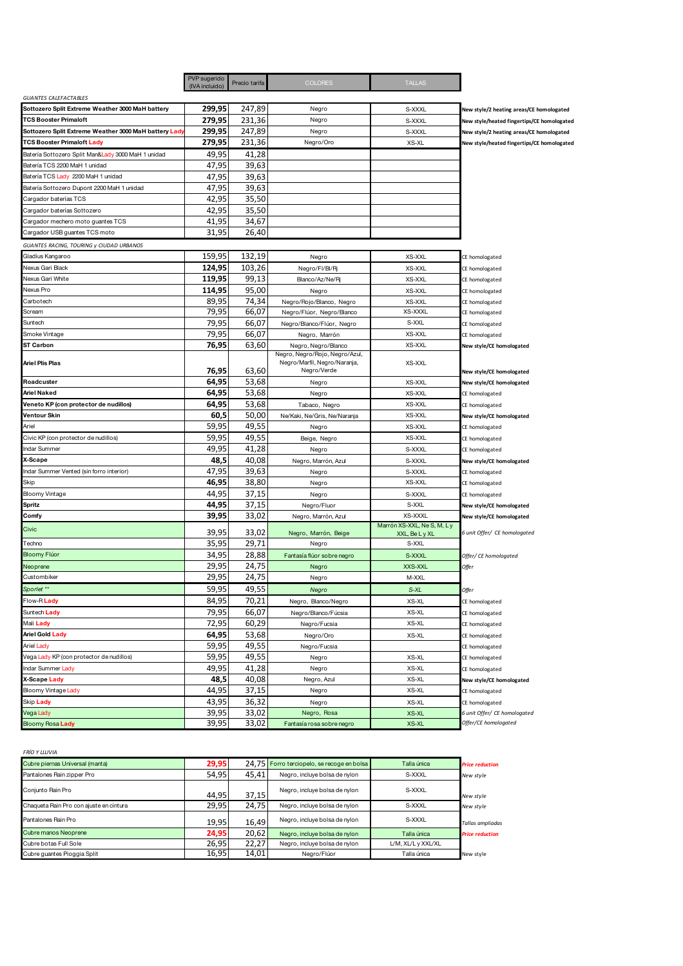|                                                       | PVP sugerido<br>Precio tarifa<br>(IVA incluido) |        | <b>COLORES</b>                                                                | <b>TALLAS</b>              |                                            |
|-------------------------------------------------------|-------------------------------------------------|--------|-------------------------------------------------------------------------------|----------------------------|--------------------------------------------|
| <b>GUANTES CALEFACTABLES</b>                          |                                                 |        |                                                                               |                            |                                            |
| Sottozero Split Extreme Weather 3000 MaH battery      | 299,95                                          | 247,89 | Negro                                                                         | S-XXXL                     | New style/2 heating areas/CE homologated   |
| <b>TCS Booster Primaloft</b>                          | 279,95                                          | 231,36 | Negro                                                                         | S-XXXL                     | New style/heated fingertips/CE homologated |
| Sottozero Split Extreme Weather 3000 MaH battery Lady | 299,95                                          | 247,89 | Negro                                                                         | S-XXXL                     | New style/2 heating areas/CE homologated   |
| <b>TCS Booster Primaloft Lady</b>                     | 279,95                                          | 231,36 | Negro/Oro                                                                     | XS-XL                      | New style/heated fingertips/CE homologated |
| Batería Sottozero Split Man&Lady 3000 MaH 1 unidad    | 49,95                                           | 41,28  |                                                                               |                            |                                            |
| Batería TCS 2200 MaH 1 unidad                         | 47,95                                           | 39,63  |                                                                               |                            |                                            |
| Batería TCS Lady 2200 MaH 1 unidad                    | 47,95                                           | 39,63  |                                                                               |                            |                                            |
| Batería Sottozero Dupont 2200 MaH 1 unidad            | 47,95                                           | 39,63  |                                                                               |                            |                                            |
| Cargador baterías TCS                                 | 42,95                                           | 35,50  |                                                                               |                            |                                            |
| Cargador baterías Sottozero                           | 42,95                                           | 35,50  |                                                                               |                            |                                            |
| Cargador mechero moto guantes TCS                     | 41,95                                           | 34,67  |                                                                               |                            |                                            |
| Cargador USB guantes TCS moto                         | 31,95                                           | 26,40  |                                                                               |                            |                                            |
| GUANTES RACING, TOURING y CIUDAD URBANOS              |                                                 |        |                                                                               |                            |                                            |
| Gladius Kangaroo                                      | 159,95                                          | 132,19 | Negro                                                                         | XS-XXL                     | CE homologated                             |
| Nexus Gari Black                                      | 124,95                                          | 103,26 | Negro/FI/BI/Rj                                                                | XS-XXL                     | CE homologated                             |
| Nexus Gari White                                      | 119,95                                          | 99,13  | Blanco/Az/Ne/Rj                                                               | XS-XXL                     | CE homologated                             |
| Nexus Pro                                             | 114,95                                          | 95,00  | Negro                                                                         | XS-XXL                     | CE homologated                             |
| Carbotech                                             | 89,95                                           | 74,34  | Negro/Rojo/Blanco, Negro                                                      | XS-XXL                     | CE homologated                             |
| Scream                                                | 79,95                                           | 66,07  | Negro/Flúor, Negro/Blanco                                                     | XS-XXXL                    | CE homologated                             |
| Suntech                                               | 79,95                                           | 66,07  | Negro/Blanco/Flúor, Negro                                                     | S-XXL                      | CE homologated                             |
| Smoke Vintage                                         | 79,95                                           | 66,07  | Negro, Marrón                                                                 | XS-XXL                     | CE homologated                             |
| <b>ST Carbon</b>                                      | 76,95                                           | 63,60  | Negro, Negro/Blanco                                                           | XS-XXL                     | New style/CE homologated                   |
| <b>Ariel Plis Plas</b>                                | 76,95                                           | 63,60  | Negro, Negro/Rojo, Negro/Azul,<br>Negro/Marfil, Negro/Naranja,<br>Negro/Verde | XS-XXL                     | New style/CE homologated                   |
| Roadcuster                                            | 64,95                                           | 53,68  | Negro                                                                         | XS-XXL                     | New style/CE homologated                   |
| <b>Ariel Naked</b>                                    | 64,95                                           | 53,68  | Negro                                                                         | XS-XXL                     | CE homologated                             |
| Veneto KP (con protector de nudillos)                 | 64,95                                           | 53,68  | Tabaco, Negro                                                                 | XS-XXL                     | CE homologated                             |
| <b>Ventour Skin</b>                                   | 60,5                                            | 50,00  | Ne/Kaki, Ne/Gris, Ne/Naranja                                                  | XS-XXL                     | New style/CE homologated                   |
| Ariel                                                 | 59,95                                           | 49,55  | Negro                                                                         | XS-XXL                     | CE homologated                             |
| Civic KP (con protector de nudillos)                  | 59,95                                           | 49,55  | Beige, Negro                                                                  | XS-XXL                     | CE homologated                             |
| Indar Summer                                          | 49,95                                           | 41,28  | Negro                                                                         | S-XXXL                     | CE homologated                             |
| X-Scape                                               | 48,5                                            | 40,08  | Negro, Marrón, Azul                                                           | S-XXXL                     | New style/CE homologated                   |
| Indar Summer Vented (sin forro interior)              | 47,95                                           | 39,63  | Negro                                                                         | S-XXXL                     | CE homologated                             |
| Skip                                                  | 46,95                                           | 38,80  | Negro                                                                         | XS-XXL                     | CE homologated                             |
| Bloomy Vintage                                        | 44,95                                           | 37,15  | Negro                                                                         | S-XXXL                     | CE homologated                             |
| <b>Spritz</b>                                         | 44,95                                           | 37,15  | Negro/Fluor                                                                   | S-XXL                      | New style/CE homologated                   |
| Comfy                                                 | 39,95                                           | 33,02  | Negro, Marrón, Azul                                                           | XS-XXXL                    | New style/CE homologated                   |
| Civic                                                 |                                                 |        |                                                                               | Marrón XS-XXL, Ne S, M, Ly |                                            |
|                                                       | 39,95                                           | 33,02  | Negro, Marrón, Beige                                                          | XXL, Be L y XL             | 6 unit Offer/ CE homologated               |
| Techno                                                | 35,95                                           | 29,71  | Negro                                                                         | S-XXL                      |                                            |
| <b>Bloomy Fluor</b>                                   | 34,95                                           | 28,88  | Fantasía flúor sobre negro                                                    | S-XXXL                     | Offer/ CE homologated                      |
| Neoprene                                              | 29,95                                           | 24,75  | Negro                                                                         | XXS-XXL                    | Offer                                      |
| Custombiker                                           | 29,95                                           | 24,75  | Negro                                                                         | M-XXL                      |                                            |
| Sporlet **                                            | 59,95                                           | 49,55  | Negro                                                                         | S-XL                       | Offer                                      |
| Flow-RLady                                            | 84,95                                           | 70,21  | Negro, Blanco/Negro                                                           | XS-XL                      | CE homologated                             |
| Suntech Lady                                          | 79,95                                           | 66,07  | Negro/Blanco/Fúcsia                                                           | XS-XL                      | CE homologated                             |
| Mali Lady                                             | 72,95                                           | 60,29  | Negro/Fucsia                                                                  | XS-XL                      | CE homologated                             |
| <b>Ariel Gold Lady</b>                                | 64,95                                           | 53,68  | Negro/Oro                                                                     | XS-XL                      | CE homologated                             |
| <b>Ariel Lady</b>                                     | 59,95                                           | 49,55  | Negro/Fucsia                                                                  |                            | CE homologated                             |
| Vega Lady KP (con protector de nudillos)              | 59,95                                           | 49,55  | Negro                                                                         | XS-XL                      | CE homologated                             |
| Indar Summer Lady                                     | 49,95                                           | 41,28  | Negro                                                                         | XS-XL                      | CE homologated                             |
| X-Scape Lady                                          | 48,5                                            | 40,08  | Negro, Azul                                                                   | XS-XL                      | New style/CE homologated                   |
| Bloomy Vintage Lady                                   | 44,95                                           | 37,15  | Negro                                                                         | XS-XL                      | CE homologated                             |
| Skip Lady                                             | 43,95                                           | 36,32  | Negro                                                                         | XS-XL                      | CE homologated                             |
| Vega Lady                                             | 39,95                                           | 33,02  | Negro, Rosa                                                                   | XS-XL                      | 6 unit Offer/ CE homologated               |
| Bloomy Rosa Lady                                      | 39,95                                           | 33,02  | Fantasía rosa sobre negro                                                     | XS-XL                      | Offer/CE homologated                       |

*FRÍO Y LLUVIA*

| Cubre piernas Universal (manta)         | 29,95 |       | 24,75 Forro terciopelo, se recoge en bolsa | Talla única        | <b>Price reduction</b> |
|-----------------------------------------|-------|-------|--------------------------------------------|--------------------|------------------------|
| Pantalones Rain zipper Pro              | 54,95 | 45,41 | Negro, incluye bolsa de nylon              | S-XXXL             | New style              |
| Conjunto Rain Pro                       | 44,95 | 37,15 | Negro, incluye bolsa de nylon              | S-XXXI             | New style              |
| Chaqueta Rain Pro con ajuste en cintura | 29,95 | 24.75 | Negro, incluye bolsa de nylon              | S-XXXI             | New style              |
| Pantalones Rain Pro                     | 19,95 | 16,49 | Negro, incluye bolsa de nylon              | S-XXXI             | Tallas ampliadas       |
| Cubre manos Neoprene                    | 24,95 | 20,62 | Negro, incluye bolsa de nylon              | Talla única        | <b>Price reduction</b> |
| Cubre botas Full Sole                   | 26.95 | 22.27 | Negro, incluye bolsa de nylon              | L/M, XL/L y XXL/XL |                        |
| Cubre quantes Pioggia Split             | 16,95 | 14,01 | Nearo/Flúor                                | Talla única        | New style              |